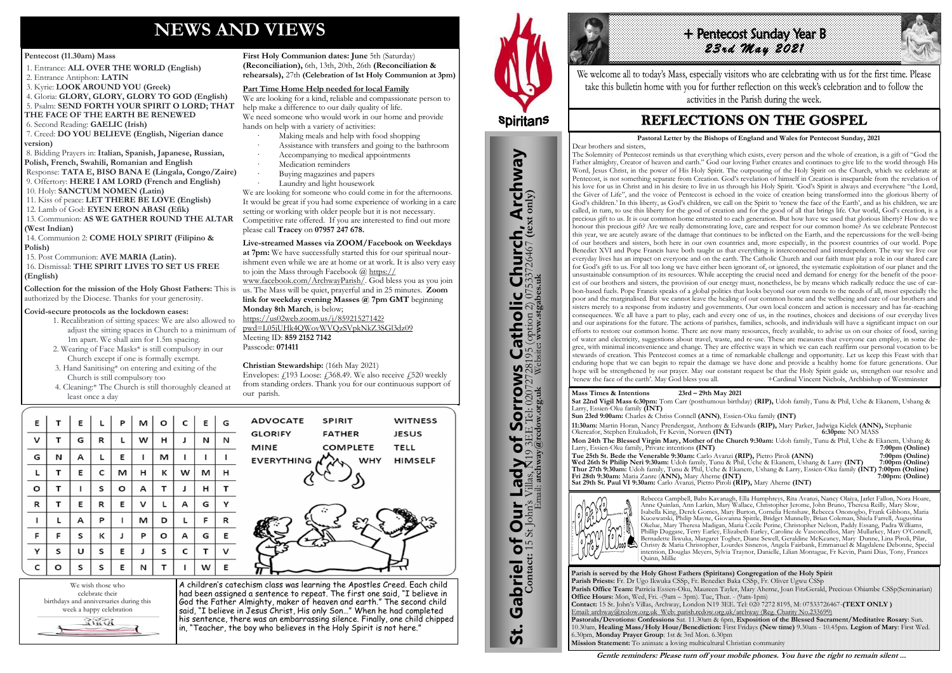# **NEWS AND VIEWS**

#### **Pentecost (11.30am) Mass**

- 1. Entrance: **ALL OVER THE WORLD (English)**
- 2. Entrance Antiphon: **LATIN**
- 3. Kyrie: **LOOK AROUND YOU (Greek)**
- 4. Gloria: **GLORY, GLORY, GLORY TO GOD (English)** 5. Psalm: **SEND FORTH YOUR SPIRIT O LORD; THAT**
- **THE FACE OF THE EARTH BE RENEWED**
- 6. Second Reading: **GAELIC (Irish)**

7. Creed: **DO YOU BELIEVE (English, Nigerian dance version)**

8. Bidding Prayers in: **Italian, Spanish, Japanese, Russian, Polish, French, Swahili, Romanian and English**

Response: **TATA E, BISO BANA E (Lingala, Congo/Zaire)** 9. Offertory: **HERE I AM LORD (French and English)**

- 10. Holy: **SANCTUM NOMEN (Latin)**
- 11. Kiss of peace: **LET THERE BE LOVE (English)**
- 12. Lamb of God: **EYEN ERON ABASI (Efik)** 13. Communion: **AS WE GATHER ROUND THE ALTAR**

#### **(West Indian)**

14. Communion 2: **COME HOLY SPIRIT (Filipino & Polish)**

15. Post Communion: **AVE MARIA (Latin).**

16. Dismissal: **THE SPIRIT LIVES TO SET US FREE (English)**

**Collection for the mission of the Holy Ghost Fathers:** This is authorized by the Diocese. Thanks for your generosity.

#### **Covid-secure protocols as the lockdown eases:**

- 1. Recalibration of sitting spaces: We are also allowed to adjust the sitting spaces in Church to a minimum of 1m apart. We shall aim for 1.5m spacing.
- 2. Wearing of Face Masks\* is still compulsory in our Church except if one is formally exempt.
- 3. Hand Sanitising\* on entering and exiting of the Church is still compulsory too
- 4. Cleaning:\* The Church is still thoroughly cleaned at least once a day

| Ε | т | Ε | г | P | M | o | c | E | G |
|---|---|---|---|---|---|---|---|---|---|
| v | т | G | R | L | w | Н | J | И | N |
| G | N | А | г | Ε | ı | M | ı | ı | I |
| г | Τ | Ε | С | M | н | κ | w | м | н |
| O | т | ı | S | o | А | т | J | н | т |
| R | т | Ε | R | Ε | v | L | А | G | Υ |
| I | г | А | P | ı | M | D | г | F | R |
| F | F | S | К | J | P | O | А | G | Ε |
| Υ | S | U | S | Ε | J | S | С | т | v |
| C | O | S | S | E | И | Τ | ı | w | Ε |

**First Holy Communion dates: June** 5th (Saturday) **(Reconciliation),** 6th, 13th, 20th, 26th **(Reconciliation & rehearsals),** 27th **(Celebration of 1st Holy Communion at 3pm)** 

Envelopes:  $\angle 193$  Loose:  $\angle 368.49$ . We also receive  $\angle 520$  weekly from standing orders. Thank you for our continuous support of our parish.

We wish those who celebrate their birthdays and anniversaries during this week a happy celebration RINGI



#### **Part Time Home Help needed for local Family**

We are looking for a kind, reliable and compassionate person to help make a difference to our daily quality of life. We need someone who would work in our home and provide hands on help with a variety of activities:

- Making meals and help with food shopping
- Assistance with transfers and going to the bathroom
- · Accompanying to medical appointments Medication reminders
- · Buying magazines and papers
- Laundry and light housework

+ Pentecost Sunday Year B *23rd May 2021* 

We are looking for someone who could come in for the afternoons. It would be great if you had some experience of working in a care setting or working with older people but it is not necessary. Competitive rate offered. If you are interested to find out more please call **Tracey** on **[07957 247 678.](tel:07957%20247%20678)**

**Live-streamed Masses via ZOOM/Facebook on Weekdays** 

**at 7pm:** We have successfully started this for our spiritual nourishment even while we are at home or at work. It is also very easy to join the Mass through Facebook @ [https://](https://www.facebook.com/ArchwayParish/)

[www.facebook.com/ArchwayParish/.](https://www.facebook.com/ArchwayParish/) God bless you as you join us. The Mass will be quiet, prayerful and in 25 minutes. **Zoom link for weekday evening Masses @ 7pm GMT** beginning **Monday 8th March**, is below;

[https://us02web.zoom.us/j/85921527142?](https://us02web.zoom.us/j/85921527142?pwd=L05jUHk4QWovWVQzSVpkNkZ3SGl3dz09) [pwd=L05jUHk4QWovWVQzSVpkNkZ3SGl3dz09](https://us02web.zoom.us/j/85921527142?pwd=L05jUHk4QWovWVQzSVpkNkZ3SGl3dz09) Meeting ID: **859 2152 7142** 

Passcode: **071411** 

#### **Christian Stewardship:** (16th May 2021)

A children's catechism class was learning the Apostles Creed. Each child had been assigned a sentence to repeat. The first one said, "I believe in God the Father Almighty, maker of heaven and earth." The second child said, "I believe in Jesus Christ, His only Son..." When he had completed his sentence, there was an embarrassing silence. Finally, one child chipped in, "Teacher, the boy who believes in the Holy Spirit is not here."



St. Gabriel of Our Lady of Sorrows Catholic Church, Archway

Sorrows

 $\overline{\mathbf{b}}$ 

**Lady** 

Gabriel of Our

<u>ჭ</u>

**S Catholic Church, Archway**<br>28195 (option 2) 07533726467 (text only)

**Parish is served by the Holy Ghost Fathers (Spiritans) Congregation of the Holy Spirit Parish Priests:** Fr. Dr Ugo Ikwuka CSSp, Fr. Benedict Baka CSSp, Fr. Oliver Ugwu CSSp **Parish Office Team:** Patricia Essien-Oku, Maureen Tayler, Mary Aherne, Joan FitzGerald, Precious Ohiambe CSSp(Seminarian) **Office Hours:** Mon, Wed, Fri. -(9am – 3pm). Tue, Thur. - (9am-1pm) **Contact:** 15 St. John's Villas, Archway, London N19 3EE. Tel: 020 7272 8195, M: 07533726467-**(TEXT ONLY )** Email: archway@rcdow.org.uk Web: parish.rcdow.org.uk/archway (Reg. Charity No.233699) **Pastorals/Devotions: Confessions** Sat. 11.30am & 6pm, **Exposition of the Blessed Sacrament/Meditative Rosary**: Sun. 10.30am, **Healing Mass/Holy Hour/Benediction:** First Fridays **(New time)** 9.30am - 10.45pm. **Legion of Mary**: First Wed. 6.30pm, **Monday Prayer Group**: 1st & 3rd Mon. 6.30pm **Mission Statement:** To animate a loving multicultural Christian community

**Contact:** 15 St John's Villas, N19 3EE Tel: 02072728195 (option 2) 07533726467 **(text only)** Email: **archway@rcdow.org.uk** Website**: www.stgabes.uk**

i's Villas, N19 3EE Tel: 0207<br><sup>Email:</sup> archway@rcdow.org.uk

 $\overline{C}$ 



We welcome all to today's Mass, especially visitors who are celebrating with us for the first time. Please take this bulletin home with you for further reflection on this week's celebration and to follow the activities in the Parish during the week.

## **REFLECTIONS ON THE GOSPEL**

**Mass Times & Intentions 23rd – 29th May 2021** Larry, Essien-Oku family **(INT)**

**Sat 22nd Vigil Mass 6:30pm:** Tom Carr (posthumous birthday) **(RIP),** Udoh family, Tunu & Phil, Uche & Ekanem, Ushang &

**Sun 23rd 9:00am:** Charles & Chriss Connell **(ANN)**, Essien-Oku family **(INT) 11:30am:** Martin Horan, Nancy Prendergast, Anthony & Edwards **(RIP),** Mary Parker, Jadwiga Kielek **(ANN),** Stephanie Okereafor, Stephen Etukudoh, Fr Kevin, Norwen **(INT) 6:30pm:** NO MASS **Mon 24th The Blessed Virgin Mary, Mother of the Church 9:30am:** Udoh family, Tunu & Phil, Uche & Ekanem, Ushang & Larry, Essien-Oku family, Private intentions **(INT) 7:00pm (Online) Tue 25th St. Bede the Venerable 9:30am:** Carlo Avanzi **(RIP),** Pietro Piroli **(ANN) 7:00pm (Online) Wed 26th St Philip Neri 9:30am:** Udoh family, Tunu & Phil, Uche & Ekanem, Ushang & Larry **(INT) 7:00pm (Online) Thur 27th 9:30am:** Udoh family, Tunu & Phil, Uche & Ekanem, Ushang & Larry, Essien-Oku family **(INT) 7:00pm (Online) Fri 28th 9:30am:** Maria Zanre (**ANN),** Mary Aherne **(INT) 7:00pm: (Online)** 

**Sat 29th St. Paul VI 9:30am:** Carlo Avanzi, Pietro Piroli **(RIP),** Mary Aherne **(INT)**



Rebecca Campbell, Babs Kavanagh, Ella Humphreys, Rita Avanzi, Nancy Olaiya, Jarlet Fallon, Nora Hoare, Anne Quinlan, Ann Larkin, Mary Wallace, Christopher Jerome, John Bruno, Theresa Reilly, Mary Slow, Isabella King, Derek Gomes, Mary Burton, Cornelia Henshaw, Rebecca Ononogbo, Frank Gibbons, Maria Kuozwatski, Philip Mayne, Giovanna Spittle, Bridget Munnelly, Brian Coleman, Shiela Farrell, Augustina Okelue, Mary Theresa Madigan, Maria Cecile Perine, Christopher Nelson, Paddy Essang, Padra Williams, Phillip Duggase, Terry Earley, Elizabeth Earley, Caroline de Vasconcellos, Mary Mullarkey, Mary O'Connell, Bernadette Ikwuka, Margaret Togher, Diane Sewell, Geraldine McKeaney, Mary Dunne, Lina Piroli, Pilar, Christy & Maria Christopher, Lourdes Sisneros, Angela Fairbank, Emmanuel & Magdalene Debonne, Special intention, Douglas Meyers, Sylvia Traynor, Danielle, Lilian Montague, Fr Kevin, Paani Dias, Tony, Frances Quinn, Millie

**Gentle reminders: Please turn off your mobile phones. You have the right to remain silent ...** 

 **Pastoral Letter by the Bishops of England and Wales for Pentecost Sunday, 2021** Dear brothers and sisters,

The Solemnity of Pentecost reminds us that everything which exists, every person and the whole of creation, is a gift of "God the Father almighty, Creator of heaven and earth." God our loving Father creates and continues to give life to the world through His Word, Jesus Christ, in the power of His Holy Spirit. The outpouring of the Holy Spirit on the Church, which we celebrate at Pentecost, is not something separate from Creation. God's revelation of himself in Creation is inseparable from the revelation of his love for us in Christ and in his desire to live in us through his Holy Spirit. 'God's Spirit is always and everywhere "the Lord, the Giver of Life", and the voice of Pentecost is echoed in the voice of creation being transformed into the glorious liberty of God's children.' In this liberty, as God's children, we call on the Spirit to 'renew the face of the Earth', and as his children, we are called, in turn, to use this liberty for the good of creation and for the good of all that brings life. Our world, God's creation, is a precious gift to us. It is our common home entrusted to each generation. But how have we used that glorious liberty? How do we honour this precious gift? Are we really demonstrating love, care and respect for our common home? As we celebrate Pentecost this year, we are acutely aware of the damage that continues to be inflicted on the Earth, and the repercussions for the well-being of our brothers and sisters, both here in our own countries and, more especially, in the poorest countries of our world. Pope Benedict XVI and Pope Francis have both taught us that everything is interconnected and interdependent. The way we live our everyday lives has an impact on everyone and on the earth. The Catholic Church and our faith must play a role in our shared care for God's gift to us. For all too long we have either been ignorant of, or ignored, the systematic exploitation of our planet and the unsustainable consumption of its resources. While accepting the crucial need and demand for energy for the benefit of the poorest of our brothers and sisters, the provision of our energy must, nonetheless, be by means which radically reduce the use of carbon-based fuels. Pope Francis speaks of a global politics that looks beyond our own needs to the needs of all, most especially the poor and the marginalised. But we cannot leave the healing of our common home and the wellbeing and care of our brothers and sisters merely to a response from industry and governments. Our own local concern and action is necessary and has far-reaching consequences. We all have a part to play, each and every one of us, in the routines, choices and decisions of our everyday lives and our aspirations for the future. The actions of parishes, families, schools, and individuals will have a significant impact on our efforts to restore our common home. There are now many resources, freely available, to advise us on our choice of food, saving of water and electricity, suggestions about travel, waste, and re-use. These are measures that everyone can employ, in some degree, with minimal inconvenience and change. They are effective ways in which we can each reaffirm our personal vocation to be stewards of creation. This Pentecost comes at a time of remarkable challenge and opportunity. Let us keep this Feast with that enduring hope that we can begin to repair the damage we have done and provide a healthy home for future generations. Our hope will be strengthened by our prayer. May our constant request be that the Holy Spirit guide us, strengthen our resolve and 'renew the face of the earth'. May God bless you all. +Cardinal Vincent Nichols, Archbishop of Westminster